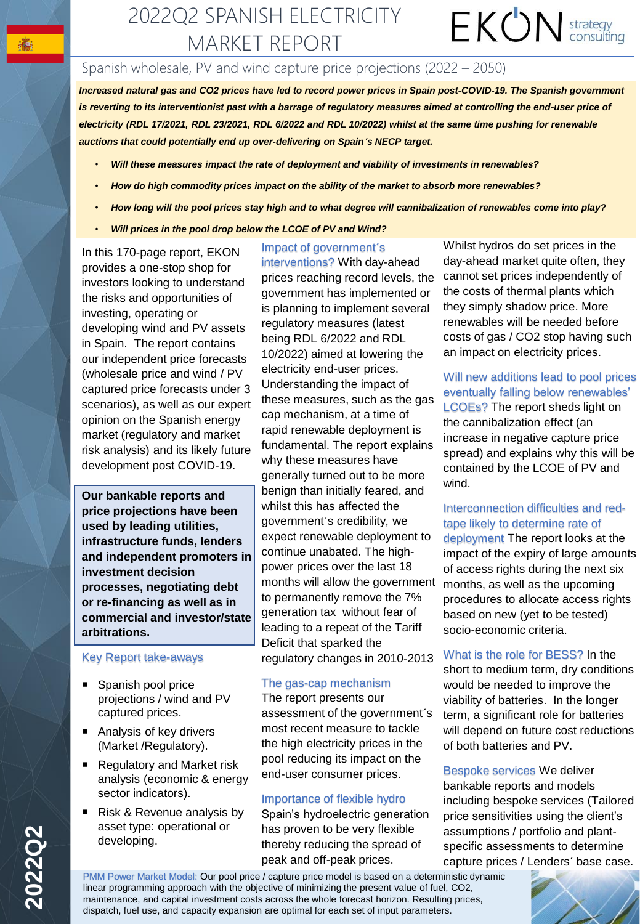### $EKON$  strategy 2022Q2 SPANISH ELECTRICITY MARKET REPORT

#### Spanish wholesale, PV and wind capture price projections (2022 – 2050)

*Increased natural gas and CO2 prices have led to record power prices in Spain post-COVID-19. The Spanish government*  is reverting to its interventionist past with a barrage of regulatory measures aimed at controlling the end-user price of *electricity (RDL 17/2021, RDL 23/2021, RDL 6/2022 and RDL 10/2022) whilst at the same time pushing for renewable auctions that could potentially end up over-delivering on Spain´s NECP target.* 

- *Will these measures impact the rate of deployment and viability of investments in renewables?*
- *How do high commodity prices impact on the ability of the market to absorb more renewables?*
- *How long will the pool prices stay high and to what degree will cannibalization of renewables come into play?*
- *Will prices in the pool drop below the LCOE of PV and Wind?*

In this 170-page report, EKON provides a one-stop shop for investors looking to understand the risks and opportunities of investing, operating or developing wind and PV assets in Spain. The report contains our independent price forecasts (wholesale price and wind / PV captured price forecasts under 3 scenarios), as well as our expert opinion on the Spanish energy market (regulatory and market risk analysis) and its likely future development post COVID-19.

**Our bankable reports and price projections have been used by leading utilities, infrastructure funds, lenders and independent promoters in investment decision processes, negotiating debt or re-financing as well as in commercial and investor/state arbitrations.**

#### Key Report take-aways

- Spanish pool price projections / wind and PV captured prices.
- Analysis of key drivers (Market /Regulatory).
- Regulatory and Market risk analysis (economic & energy sector indicators).
- Risk & Revenue analysis by asset type: operational or developing.

#### Impact of government´s

interventions? With day-ahead prices reaching record levels, the government has implemented or is planning to implement several regulatory measures (latest being RDL 6/2022 and RDL 10/2022) aimed at lowering the electricity end-user prices. Understanding the impact of these measures, such as the gas cap mechanism, at a time of rapid renewable deployment is fundamental. The report explains why these measures have generally turned out to be more benign than initially feared, and whilst this has affected the government´s credibility, we expect renewable deployment to continue unabated. The highpower prices over the last 18 months will allow the government to permanently remove the 7% generation tax without fear of leading to a repeat of the Tariff Deficit that sparked the regulatory changes in 2010-2013

#### The gas-cap mechanism

The report presents our assessment of the government´s most recent measure to tackle the high electricity prices in the pool reducing its impact on the end-user consumer prices.

#### Importance of flexible hydro

Spain's hydroelectric generation has proven to be very flexible thereby reducing the spread of peak and off-peak prices.

Whilst hydros do set prices in the day-ahead market quite often, they cannot set prices independently of the costs of thermal plants which they simply shadow price. More renewables will be needed before costs of gas / CO2 stop having such an impact on electricity prices.

#### Will new additions lead to pool prices eventually falling below renewables'

LCOEs? The report sheds light on the cannibalization effect (an increase in negative capture price spread) and explains why this will be contained by the LCOE of PV and wind.

#### Interconnection difficulties and redtape likely to determine rate of

deployment The report looks at the impact of the expiry of large amounts of access rights during the next six months, as well as the upcoming procedures to allocate access rights based on new (yet to be tested) socio-economic criteria.

#### What is the role for BESS? In the

short to medium term, dry conditions would be needed to improve the viability of batteries. In the longer term, a significant role for batteries will depend on future cost reductions of both batteries and PV.

Bespoke services We deliver bankable reports and models including bespoke services (Tailored price sensitivities using the client's assumptions / portfolio and plantspecific assessments to determine capture prices / Lenders´ base case.

PMM Power Market Model: Our pool price / capture price model is based on a deterministic dynamic linear programming approach with the objective of minimizing the present value of fuel, CO2, maintenance, and capital investment costs across the whole forecast horizon. Resulting prices, dispatch, fuel use, and capacity expansion are optimal for each set of input parameters.



●